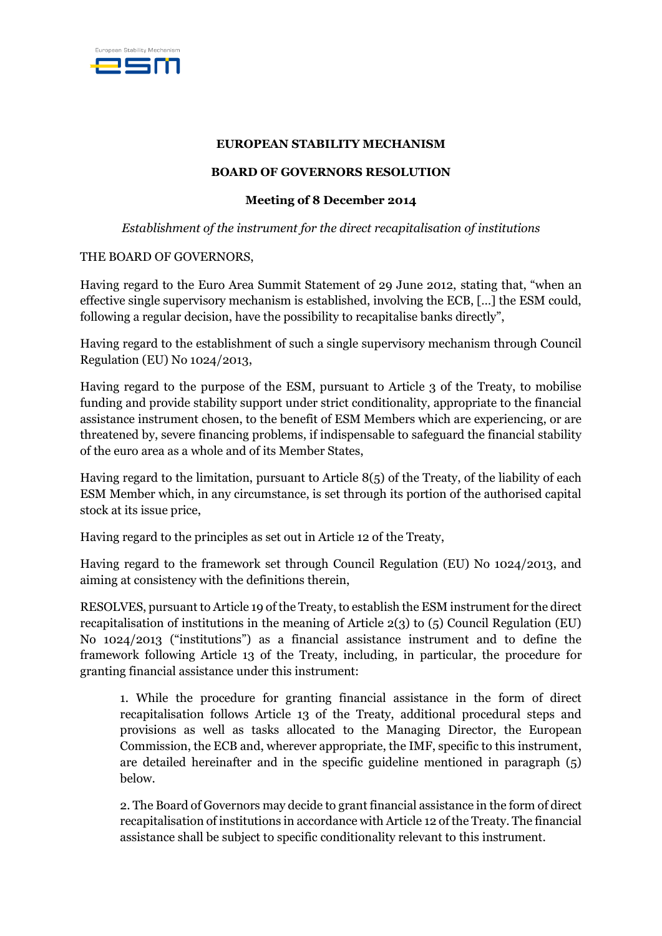

## **EUROPEAN STABILITY MECHANISM**

## **BOARD OF GOVERNORS RESOLUTION**

## **Meeting of 8 December 2014**

# *Establishment of the instrument for the direct recapitalisation of institutions*

## THE BOARD OF GOVERNORS,

Having regard to the Euro Area Summit Statement of 29 June 2012, stating that, "when an effective single supervisory mechanism is established, involving the ECB, […] the ESM could, following a regular decision, have the possibility to recapitalise banks directly",

Having regard to the establishment of such a single supervisory mechanism through Council Regulation (EU) No 1024/2013,

Having regard to the purpose of the ESM, pursuant to Article 3 of the Treaty, to mobilise funding and provide stability support under strict conditionality, appropriate to the financial assistance instrument chosen, to the benefit of ESM Members which are experiencing, or are threatened by, severe financing problems, if indispensable to safeguard the financial stability of the euro area as a whole and of its Member States,

Having regard to the limitation, pursuant to Article 8(5) of the Treaty, of the liability of each ESM Member which, in any circumstance, is set through its portion of the authorised capital stock at its issue price,

Having regard to the principles as set out in Article 12 of the Treaty,

Having regard to the framework set through Council Regulation (EU) No 1024/2013, and aiming at consistency with the definitions therein,

RESOLVES, pursuant to Article 19 of the Treaty, to establish the ESM instrument for the direct recapitalisation of institutions in the meaning of Article 2(3) to (5) Council Regulation (EU) No 1024/2013 ("institutions") as a financial assistance instrument and to define the framework following Article 13 of the Treaty, including, in particular, the procedure for granting financial assistance under this instrument:

1. While the procedure for granting financial assistance in the form of direct recapitalisation follows Article 13 of the Treaty, additional procedural steps and provisions as well as tasks allocated to the Managing Director, the European Commission, the ECB and, wherever appropriate, the IMF, specific to this instrument, are detailed hereinafter and in the specific guideline mentioned in paragraph (5) below.

2. The Board of Governors may decide to grant financial assistance in the form of direct recapitalisation of institutions in accordance with Article 12 of the Treaty. The financial assistance shall be subject to specific conditionality relevant to this instrument.